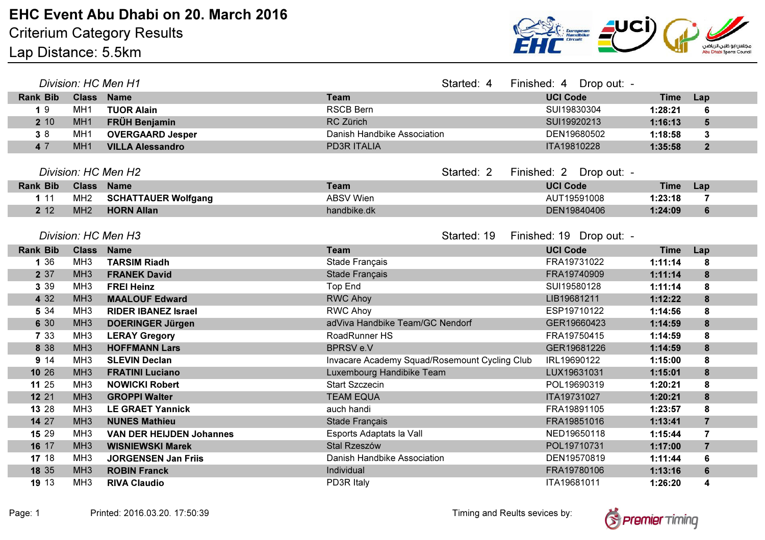

| Division: HC Men H1 |                   |                                 | Started: 4                                    | Finished: 4 Drop out: - |                          |             |             |                 |
|---------------------|-------------------|---------------------------------|-----------------------------------------------|-------------------------|--------------------------|-------------|-------------|-----------------|
| <b>Rank Bib</b>     | <b>Class Name</b> |                                 | <b>Team</b>                                   |                         | <b>UCI Code</b>          |             | <b>Time</b> | Lap             |
| 19                  | MH <sub>1</sub>   | <b>TUOR Alain</b>               | <b>RSCB Bern</b>                              |                         | SUI19830304              |             | 1:28:21     | 6               |
| 2 10                | MH <sub>1</sub>   | <b>FRÜH Benjamin</b>            | RC Zürich                                     |                         | SUI19920213              |             | 1:16:13     | $5\phantom{1}$  |
| 38                  | MH <sub>1</sub>   | <b>OVERGAARD Jesper</b>         | Danish Handbike Association                   |                         |                          | DEN19680502 | 1:18:58     | $\mathbf{3}$    |
| 4 7                 | MH <sub>1</sub>   | <b>VILLA Alessandro</b>         | <b>PD3R ITALIA</b>                            |                         | ITA19810228              |             | 1:35:58     | $\overline{2}$  |
|                     |                   |                                 |                                               |                         |                          |             |             |                 |
| Division: HC Men H2 |                   |                                 | Started: 2                                    | Finished: 2 Drop out: - |                          |             |             |                 |
| <b>Rank Bib</b>     | <b>Class Name</b> |                                 | <b>Team</b>                                   |                         | <b>UCI Code</b>          |             | <b>Time</b> | Lap             |
| 111                 | MH <sub>2</sub>   | <b>SCHATTAUER Wolfgang</b>      | <b>ABSV Wien</b>                              |                         |                          | AUT19591008 | 1:23:18     | $\overline{7}$  |
| 2 12                | MH2               | <b>HORN Allan</b>               | handbike.dk                                   |                         |                          | DEN19840406 | 1:24:09     | $6\phantom{1}$  |
|                     |                   |                                 |                                               |                         |                          |             |             |                 |
| Division: HC Men H3 |                   |                                 |                                               | Started: 19             | Finished: 19 Drop out: - |             |             |                 |
| <b>Rank Bib</b>     | Class Name        |                                 | <b>Team</b>                                   |                         | <b>UCI Code</b>          |             | <b>Time</b> | Lap             |
| 1 3 6               | MH <sub>3</sub>   | <b>TARSIM Riadh</b>             | Stade Français                                |                         |                          | FRA19731022 | 1:11:14     | 8               |
| 2 37                | MH <sub>3</sub>   | <b>FRANEK David</b>             | Stade Français                                |                         |                          | FRA19740909 | 1:11:14     | 8               |
| 3 3 9               | MH <sub>3</sub>   | <b>FREI Heinz</b>               | Top End                                       |                         | SUI19580128              |             | 1:11:14     | 8               |
| 4 3 2               | MH <sub>3</sub>   | <b>MAALOUF Edward</b>           | <b>RWC Ahoy</b>                               |                         | LIB19681211              |             | 1:12:22     | 8               |
| 5 3 4               | MH <sub>3</sub>   | <b>RIDER IBANEZ Israel</b>      | <b>RWC Ahoy</b>                               |                         |                          | ESP19710122 | 1:14:56     | 8               |
| 6 30                | MH <sub>3</sub>   | <b>DOERINGER Jürgen</b>         | adViva Handbike Team/GC Nendorf               |                         |                          | GER19660423 | 1:14:59     | 8               |
| 7 3 3               | MH <sub>3</sub>   | <b>LERAY Gregory</b>            | RoadRunner HS                                 |                         |                          | FRA19750415 | 1:14:59     | 8               |
| 8 3 8               | MH <sub>3</sub>   | <b>HOFFMANN Lars</b>            | <b>BPRSVe.V</b>                               |                         |                          | GER19681226 | 1:14:59     | 8               |
| 9 14                | MH <sub>3</sub>   | <b>SLEVIN Declan</b>            | Invacare Academy Squad/Rosemount Cycling Club |                         | IRL19690122              |             | 1:15:00     | 8               |
| 10 26               | MH <sub>3</sub>   | <b>FRATINI Luciano</b>          | Luxembourg Handibike Team                     |                         |                          | LUX19631031 | 1:15:01     | 8               |
| 11 25               | MH <sub>3</sub>   | <b>NOWICKI Robert</b>           | <b>Start Szczecin</b>                         |                         |                          | POL19690319 | 1:20:21     | 8               |
| 12 21               | MH <sub>3</sub>   | <b>GROPPI Walter</b>            | <b>TEAM EQUA</b>                              |                         | ITA19731027              |             | 1:20:21     | 8               |
| 13 28               | MH <sub>3</sub>   | <b>LE GRAET Yannick</b>         | auch handi                                    |                         |                          | FRA19891105 | 1:23:57     | 8               |
| 14 27               | MH <sub>3</sub>   | <b>NUNES Mathieu</b>            | Stade Français                                |                         |                          | FRA19851016 | 1:13:41     | $\overline{7}$  |
| 15 29               | MH <sub>3</sub>   | <b>VAN DER HEIJDEN Johannes</b> | Esports Adaptats la Vall                      |                         |                          | NED19650118 | 1:15:44     | $\overline{7}$  |
| 16 17               | MH <sub>3</sub>   | <b>WISNIEWSKI Marek</b>         | Stal Rzeszów                                  |                         |                          | POL19710731 | 1:17:00     | $\overline{7}$  |
| 17 18               | MH <sub>3</sub>   | <b>JORGENSEN Jan Friis</b>      | Danish Handbike Association                   |                         |                          | DEN19570819 | 1:11:44     | $6\phantom{1}6$ |
| 18 35               | MH <sub>3</sub>   | <b>ROBIN Franck</b>             | Individual                                    |                         |                          | FRA19780106 | 1:13:16     | $6\phantom{1}$  |
| 19 13               | MH <sub>3</sub>   | <b>RIVA Claudio</b>             | PD3R Italy                                    |                         | ITA19681011              |             | 1:26:20     | 4               |

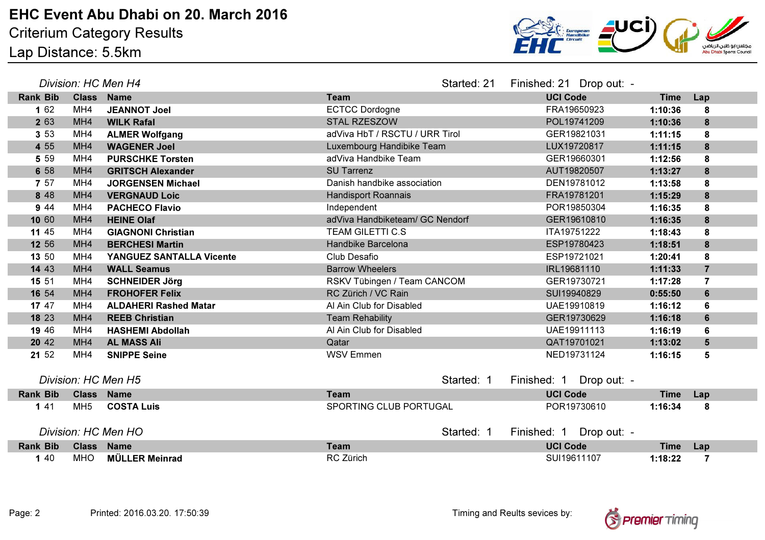

| Division: HC Men H4 |                   |                              | Started: 21                     | Finished: 21 Drop out: - |                 |             |             |                |
|---------------------|-------------------|------------------------------|---------------------------------|--------------------------|-----------------|-------------|-------------|----------------|
| <b>Rank Bib</b>     | <b>Class Name</b> |                              | <b>Team</b>                     |                          | <b>UCI Code</b> |             | <b>Time</b> | Lap            |
| 1 62                | MH4               | <b>JEANNOT Joel</b>          | <b>ECTCC Dordogne</b>           |                          |                 | FRA19650923 | 1:10:36     | 8              |
| 2 63                | MH <sub>4</sub>   | <b>WILK Rafal</b>            | STAL RZESZOW                    |                          |                 | POL19741209 | 1:10:36     | 8              |
| 3 5 3               | MH4               | <b>ALMER Wolfgang</b>        | adViva HbT / RSCTU / URR Tirol  |                          |                 | GER19821031 | 1:11:15     | 8              |
| 4 5 5               | MH4               | <b>WAGENER Joel</b>          | Luxembourg Handibike Team       |                          |                 | LUX19720817 | 1:11:15     | $\bf{8}$       |
| 5 5 9               | MH4               | <b>PURSCHKE Torsten</b>      | adViva Handbike Team            |                          |                 | GER19660301 | 1:12:56     | 8              |
| 6 58                | MH <sub>4</sub>   | <b>GRITSCH Alexander</b>     | <b>SU Tarrenz</b>               |                          | AUT19820507     |             | 1:13:27     | 8              |
| 7 57                | MH4               | <b>JORGENSEN Michael</b>     | Danish handbike association     |                          |                 | DEN19781012 | 1:13:58     | 8              |
| 8 4 8               | MH4               | <b>VERGNAUD Loic</b>         | <b>Handisport Roannais</b>      |                          | FRA19781201     |             | 1:15:29     | 8              |
| 9 4 4               | MH4               | <b>PACHECO Flavio</b>        | Independent                     |                          |                 | POR19850304 | 1:16:35     | 8              |
| 10 60               | MH4               | <b>HEINE Olaf</b>            | adViva Handbiketeam/ GC Nendorf |                          |                 | GER19610810 | 1:16:35     | $\bf{8}$       |
| 11 45               | MH4               | <b>GIAGNONI Christian</b>    | <b>TEAM GILETTI C.S</b>         |                          | ITA19751222     |             | 1:18:43     | 8              |
| 12 56               | MH4               | <b>BERCHESI Martin</b>       | Handbike Barcelona              |                          |                 | ESP19780423 | 1:18:51     | 8              |
| 13 50               | MH4               | YANGUEZ SANTALLA Vicente     | Club Desafio                    |                          | ESP19721021     |             | 1:20:41     | 8              |
| 14 43               | MH <sub>4</sub>   | <b>WALL Seamus</b>           | <b>Barrow Wheelers</b>          |                          | IRL19681110     |             | 1:11:33     | $\overline{7}$ |
| 15 51               | MH4               | <b>SCHNEIDER Jörg</b>        | RSKV Tübingen / Team CANCOM     |                          |                 | GER19730721 | 1:17:28     | $\overline{7}$ |
| 16 54               | MH4               | <b>FROHOFER Felix</b>        | RC Zürich / VC Rain             |                          | SUI19940829     |             | 0:55:50     | $6\phantom{1}$ |
| 17 47               | MH4               | <b>ALDAHERI Rashed Matar</b> | Al Ain Club for Disabled        |                          |                 | UAE19910819 | 1:16:12     | $6\phantom{1}$ |
| 18 23               | MH4               | <b>REEB Christian</b>        | <b>Team Rehability</b>          |                          |                 | GER19730629 | 1:16:18     | $6\phantom{1}$ |
| 19 46               | MH4               | <b>HASHEMI Abdollah</b>      | Al Ain Club for Disabled        |                          |                 | UAE19911113 | 1:16:19     | 6              |
| 20 42               | MH <sub>4</sub>   | <b>AL MASS Ali</b>           | Qatar                           |                          |                 | QAT19701021 | 1:13:02     | $5\phantom{1}$ |
| 21 52               | MH <sub>4</sub>   | <b>SNIPPE Seine</b>          | <b>WSV Emmen</b>                |                          |                 | NED19731124 | 1:16:15     | 5              |
|                     |                   |                              |                                 |                          |                 |             |             |                |
| Division: HC Men H5 |                   |                              | Started: 1                      | Finished: 1 Drop out: -  |                 |             |             |                |
| <b>Rank Bib</b>     | <b>Class Name</b> |                              | <b>Team</b>                     |                          | <b>UCI Code</b> |             | <b>Time</b> | Lap            |
| 141                 | MH <sub>5</sub>   | <b>COSTA Luis</b>            | SPORTING CLUB PORTUGAL          |                          |                 | POR19730610 | 1:16:34     | 8              |
|                     |                   |                              |                                 |                          |                 |             |             |                |
| Division: HC Men HO |                   | Started: 1                   | Finished: 1 Drop out: -         |                          |                 |             |             |                |
| <b>Rank Bib</b>     | <b>Class Name</b> |                              | <b>Team</b>                     |                          | <b>UCI Code</b> |             | <b>Time</b> | Lap            |
| 1 40                | <b>MHO</b>        | <b>MÜLLER Meinrad</b>        | RC Zürich                       |                          | SUI19611107     |             | 1:18:22     | $\overline{7}$ |